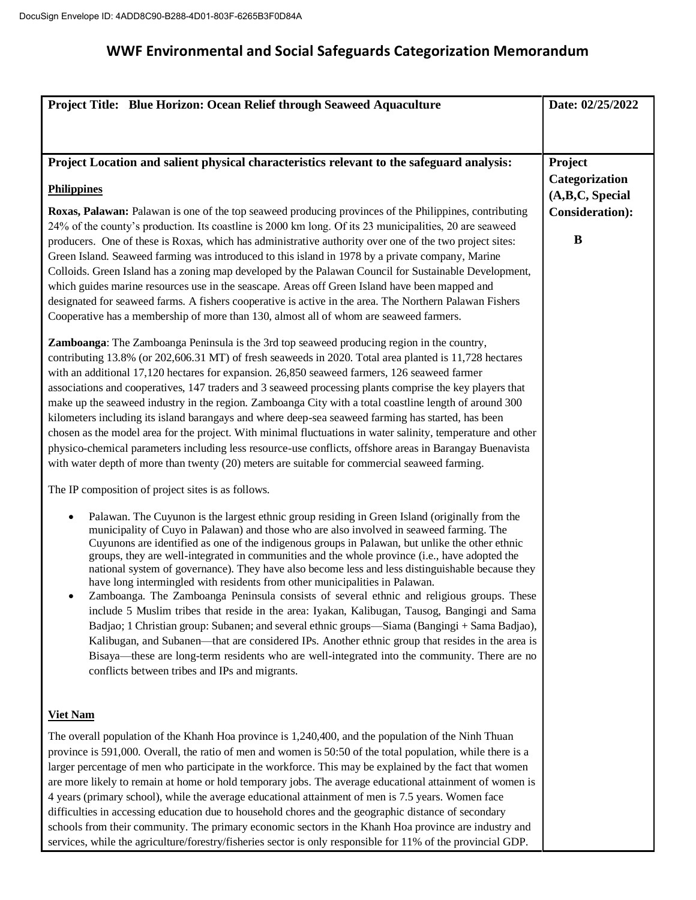| Project Title: Blue Horizon: Ocean Relief through Seaweed Aquaculture                                                                                                                                                  | Date: 02/25/2022          |
|------------------------------------------------------------------------------------------------------------------------------------------------------------------------------------------------------------------------|---------------------------|
|                                                                                                                                                                                                                        |                           |
|                                                                                                                                                                                                                        |                           |
| Project Location and salient physical characteristics relevant to the safeguard analysis:                                                                                                                              | Project<br>Categorization |
| <b>Philippines</b>                                                                                                                                                                                                     | (A,B,C, Special           |
| Roxas, Palawan: Palawan is one of the top seaweed producing provinces of the Philippines, contributing                                                                                                                 | <b>Consideration</b> ):   |
| 24% of the county's production. Its coastline is 2000 km long. Of its 23 municipalities, 20 are seaweed<br>producers. One of these is Roxas, which has administrative authority over one of the two project sites:     | $\bf{B}$                  |
| Green Island. Seaweed farming was introduced to this island in 1978 by a private company, Marine                                                                                                                       |                           |
| Colloids. Green Island has a zoning map developed by the Palawan Council for Sustainable Development,                                                                                                                  |                           |
| which guides marine resources use in the seascape. Areas off Green Island have been mapped and<br>designated for seaweed farms. A fishers cooperative is active in the area. The Northern Palawan Fishers              |                           |
| Cooperative has a membership of more than 130, almost all of whom are seaweed farmers.                                                                                                                                 |                           |
| <b>Zamboanga</b> : The Zamboanga Peninsula is the 3rd top seaweed producing region in the country,                                                                                                                     |                           |
| contributing 13.8% (or 202,606.31 MT) of fresh seaweeds in 2020. Total area planted is 11,728 hectares                                                                                                                 |                           |
| with an additional 17,120 hectares for expansion. 26,850 seaweed farmers, 126 seaweed farmer<br>associations and cooperatives, 147 traders and 3 seaweed processing plants comprise the key players that               |                           |
| make up the seaweed industry in the region. Zamboanga City with a total coastline length of around 300                                                                                                                 |                           |
| kilometers including its island barangays and where deep-sea seaweed farming has started, has been<br>chosen as the model area for the project. With minimal fluctuations in water salinity, temperature and other     |                           |
| physico-chemical parameters including less resource-use conflicts, offshore areas in Barangay Buenavista                                                                                                               |                           |
| with water depth of more than twenty (20) meters are suitable for commercial seaweed farming.                                                                                                                          |                           |
| The IP composition of project sites is as follows.                                                                                                                                                                     |                           |
| Palawan. The Cuyunon is the largest ethnic group residing in Green Island (originally from the                                                                                                                         |                           |
| municipality of Cuyo in Palawan) and those who are also involved in seaweed farming. The<br>Cuyunons are identified as one of the indigenous groups in Palawan, but unlike the other ethnic                            |                           |
| groups, they are well-integrated in communities and the whole province (i.e., have adopted the                                                                                                                         |                           |
| national system of governance). They have also become less and less distinguishable because they<br>have long intermingled with residents from other municipalities in Palawan.                                        |                           |
| Zamboanga. The Zamboanga Peninsula consists of several ethnic and religious groups. These<br>include 5 Muslim tribes that reside in the area: Iyakan, Kalibugan, Tausog, Bangingi and Sama                             |                           |
| Badjao; 1 Christian group: Subanen; and several ethnic groups—Siama (Bangingi + Sama Badjao),                                                                                                                          |                           |
| Kalibugan, and Subanen—that are considered IPs. Another ethnic group that resides in the area is                                                                                                                       |                           |
| Bisaya—these are long-term residents who are well-integrated into the community. There are no<br>conflicts between tribes and IPs and migrants.                                                                        |                           |
|                                                                                                                                                                                                                        |                           |
| <b>Viet Nam</b>                                                                                                                                                                                                        |                           |
| The overall population of the Khanh Hoa province is 1,240,400, and the population of the Ninh Thuan                                                                                                                    |                           |
| province is 591,000. Overall, the ratio of men and women is 50:50 of the total population, while there is a<br>larger percentage of men who participate in the workforce. This may be explained by the fact that women |                           |
| are more likely to remain at home or hold temporary jobs. The average educational attainment of women is                                                                                                               |                           |
| 4 years (primary school), while the average educational attainment of men is 7.5 years. Women face<br>difficulties in accessing education due to household chores and the geographic distance of secondary             |                           |
| schools from their community. The primary economic sectors in the Khanh Hoa province are industry and                                                                                                                  |                           |

services, while the agriculture/forestry/fisheries sector is only responsible for 11% of the provincial GDP.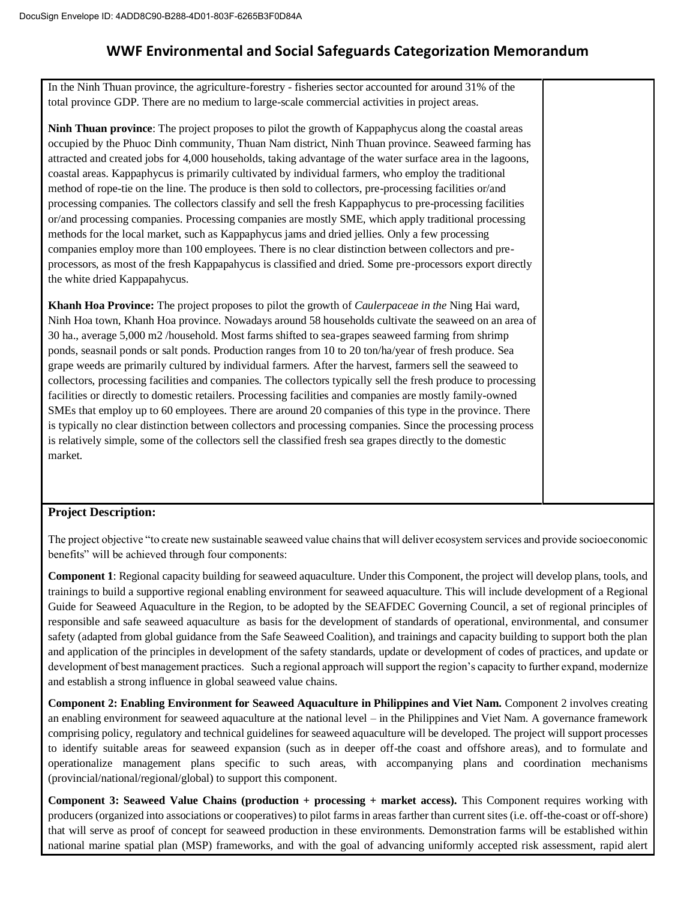In the Ninh Thuan province, the agriculture-forestry - fisheries sector accounted for around 31% of the total province GDP. There are no medium to large-scale commercial activities in project areas.

**Ninh Thuan province**: The project proposes to pilot the growth of Kappaphycus along the coastal areas occupied by the Phuoc Dinh community, Thuan Nam district, Ninh Thuan province. Seaweed farming has attracted and created jobs for 4,000 households, taking advantage of the water surface area in the lagoons, coastal areas. Kappaphycus is primarily cultivated by individual farmers, who employ the traditional method of rope-tie on the line. The produce is then sold to collectors, pre-processing facilities or/and processing companies. The collectors classify and sell the fresh Kappaphycus to pre-processing facilities or/and processing companies. Processing companies are mostly SME, which apply traditional processing methods for the local market, such as Kappaphycus jams and dried jellies. Only a few processing companies employ more than 100 employees. There is no clear distinction between collectors and preprocessors, as most of the fresh Kappapahycus is classified and dried. Some pre-processors export directly the white dried Kappapahycus.

**Khanh Hoa Province:** The project proposes to pilot the growth of *Caulerpaceae in the* Ning Hai ward, Ninh Hoa town, Khanh Hoa province. Nowadays around 58 households cultivate the seaweed on an area of 30 ha., average 5,000 m2 /household. Most farms shifted to sea-grapes seaweed farming from shrimp ponds, seasnail ponds or salt ponds. Production ranges from 10 to 20 ton/ha/year of fresh produce. Sea grape weeds are primarily cultured by individual farmers. After the harvest, farmers sell the seaweed to collectors, processing facilities and companies. The collectors typically sell the fresh produce to processing facilities or directly to domestic retailers. Processing facilities and companies are mostly family-owned SMEs that employ up to 60 employees. There are around 20 companies of this type in the province. There is typically no clear distinction between collectors and processing companies. Since the processing process is relatively simple, some of the collectors sell the classified fresh sea grapes directly to the domestic market.

#### **Project Description:**

The project objective "to create new sustainable seaweed value chains that will deliver ecosystem services and provide socioeconomic benefits" will be achieved through four components:

**Component 1**: Regional capacity building for seaweed aquaculture. Under this Component, the project will develop plans, tools, and trainings to build a supportive regional enabling environment for seaweed aquaculture. This will include development of a Regional Guide for Seaweed Aquaculture in the Region, to be adopted by the SEAFDEC Governing Council, a set of regional principles of responsible and safe seaweed aquaculture as basis for the development of standards of operational, environmental, and consumer safety (adapted from global guidance from the Safe Seaweed Coalition), and trainings and capacity building to support both the plan and application of the principles in development of the safety standards, update or development of codes of practices, and update or development of best management practices. Such a regional approach will support the region's capacity to further expand, modernize and establish a strong influence in global seaweed value chains.

**Component 2: Enabling Environment for Seaweed Aquaculture in Philippines and Viet Nam.** Component 2 involves creating an enabling environment for seaweed aquaculture at the national level – in the Philippines and Viet Nam. A governance framework comprising policy, regulatory and technical guidelines for seaweed aquaculture will be developed. The project will support processes to identify suitable areas for seaweed expansion (such as in deeper off-the coast and offshore areas), and to formulate and operationalize management plans specific to such areas, with accompanying plans and coordination mechanisms (provincial/national/regional/global) to support this component.

**Component 3: Seaweed Value Chains (production + processing + market access).** This Component requires working with producers (organized into associations or cooperatives) to pilot farms in areas farther than current sites (i.e. off-the-coast or off-shore) that will serve as proof of concept for seaweed production in these environments. Demonstration farms will be established within national marine spatial plan (MSP) frameworks, and with the goal of advancing uniformly accepted risk assessment, rapid alert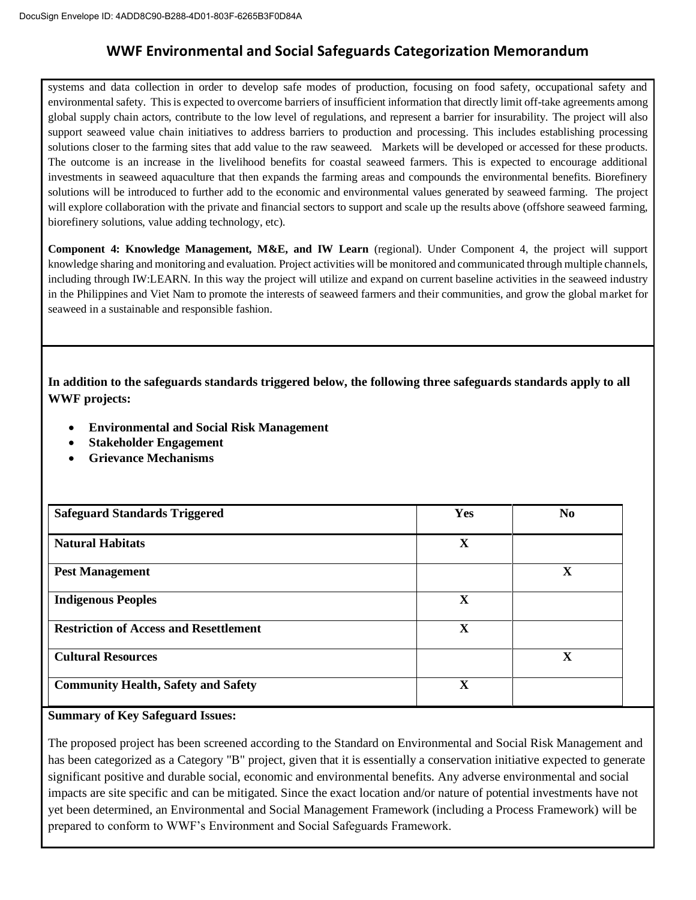systems and data collection in order to develop safe modes of production, focusing on food safety, occupational safety and environmental safety. This is expected to overcome barriers of insufficient information that directly limit off-take agreements among global supply chain actors, contribute to the low level of regulations, and represent a barrier for insurability. The project will also support seaweed value chain initiatives to address barriers to production and processing. This includes establishing processing solutions closer to the farming sites that add value to the raw seaweed. Markets will be developed or accessed for these products. The outcome is an increase in the livelihood benefits for coastal seaweed farmers. This is expected to encourage additional investments in seaweed aquaculture that then expands the farming areas and compounds the environmental benefits. Biorefinery solutions will be introduced to further add to the economic and environmental values generated by seaweed farming. The project will explore collaboration with the private and financial sectors to support and scale up the results above (offshore seaweed farming, biorefinery solutions, value adding technology, etc).

**Component 4: Knowledge Management, M&E, and IW Learn** (regional). Under Component 4, the project will support knowledge sharing and monitoring and evaluation. Project activities will be monitored and communicated through multiple channels, including through IW:LEARN. In this way the project will utilize and expand on current baseline activities in the seaweed industry in the Philippines and Viet Nam to promote the interests of seaweed farmers and their communities, and grow the global market for seaweed in a sustainable and responsible fashion.

**In addition to the safeguards standards triggered below, the following three safeguards standards apply to all WWF projects:**

- **Environmental and Social Risk Management**
- **Stakeholder Engagement**
- **Grievance Mechanisms**

| <b>Safeguard Standards Triggered</b>          | Yes         | No.          |
|-----------------------------------------------|-------------|--------------|
| <b>Natural Habitats</b>                       | X           |              |
| <b>Pest Management</b>                        |             | $\mathbf X$  |
| <b>Indigenous Peoples</b>                     | $\mathbf X$ |              |
| <b>Restriction of Access and Resettlement</b> | $\mathbf X$ |              |
| <b>Cultural Resources</b>                     |             | $\mathbf{X}$ |
| <b>Community Health, Safety and Safety</b>    | $\mathbf X$ |              |

#### **Summary of Key Safeguard Issues:**

The proposed project has been screened according to the Standard on Environmental and Social Risk Management and has been categorized as a Category "B" project, given that it is essentially a conservation initiative expected to generate significant positive and durable social, economic and environmental benefits. Any adverse environmental and social impacts are site specific and can be mitigated. Since the exact location and/or nature of potential investments have not yet been determined, an Environmental and Social Management Framework (including a Process Framework) will be prepared to conform to WWF's Environment and Social Safeguards Framework.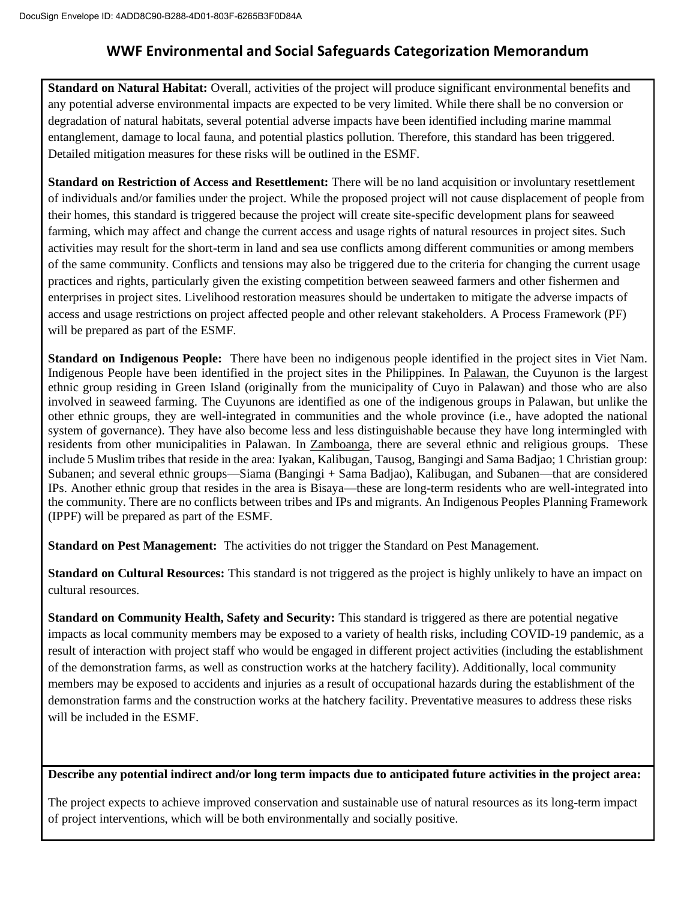**Standard on Natural Habitat:** Overall, activities of the project will produce significant environmental benefits and any potential adverse environmental impacts are expected to be very limited. While there shall be no conversion or degradation of natural habitats, several potential adverse impacts have been identified including marine mammal entanglement, damage to local fauna, and potential plastics pollution. Therefore, this standard has been triggered. Detailed mitigation measures for these risks will be outlined in the ESMF.

**Standard on Restriction of Access and Resettlement:** There will be no land acquisition or involuntary resettlement of individuals and/or families under the project. While the proposed project will not cause displacement of people from their homes, this standard is triggered because the project will create site-specific development plans for seaweed farming, which may affect and change the current access and usage rights of natural resources in project sites. Such activities may result for the short-term in land and sea use conflicts among different communities or among members of the same community. Conflicts and tensions may also be triggered due to the criteria for changing the current usage practices and rights, particularly given the existing competition between seaweed farmers and other fishermen and enterprises in project sites. Livelihood restoration measures should be undertaken to mitigate the adverse impacts of access and usage restrictions on project affected people and other relevant stakeholders. A Process Framework (PF) will be prepared as part of the ESMF.

**Standard on Indigenous People:** There have been no indigenous people identified in the project sites in Viet Nam. Indigenous People have been identified in the project sites in the Philippines. In Palawan, the Cuyunon is the largest ethnic group residing in Green Island (originally from the municipality of Cuyo in Palawan) and those who are also involved in seaweed farming. The Cuyunons are identified as one of the indigenous groups in Palawan, but unlike the other ethnic groups, they are well-integrated in communities and the whole province (i.e., have adopted the national system of governance). They have also become less and less distinguishable because they have long intermingled with residents from other municipalities in Palawan. In Zamboanga, there are several ethnic and religious groups. These include 5 Muslim tribes that reside in the area: Iyakan, Kalibugan, Tausog, Bangingi and Sama Badjao; 1 Christian group: Subanen; and several ethnic groups—Siama (Bangingi + Sama Badjao), Kalibugan, and Subanen—that are considered IPs. Another ethnic group that resides in the area is Bisaya—these are long-term residents who are well-integrated into the community. There are no conflicts between tribes and IPs and migrants. An Indigenous Peoples Planning Framework (IPPF) will be prepared as part of the ESMF.

**Standard on Pest Management:** The activities do not trigger the Standard on Pest Management.

**Standard on Cultural Resources:** This standard is not triggered as the project is highly unlikely to have an impact on cultural resources.

**Standard on Community Health, Safety and Security:** This standard is triggered as there are potential negative impacts as local community members may be exposed to a variety of health risks, including COVID-19 pandemic, as a result of interaction with project staff who would be engaged in different project activities (including the establishment of the demonstration farms, as well as construction works at the hatchery facility). Additionally, local community members may be exposed to accidents and injuries as a result of occupational hazards during the establishment of the demonstration farms and the construction works at the hatchery facility. Preventative measures to address these risks will be included in the ESMF.

### **Describe any potential indirect and/or long term impacts due to anticipated future activities in the project area:**

The project expects to achieve improved conservation and sustainable use of natural resources as its long-term impact of project interventions, which will be both environmentally and socially positive.